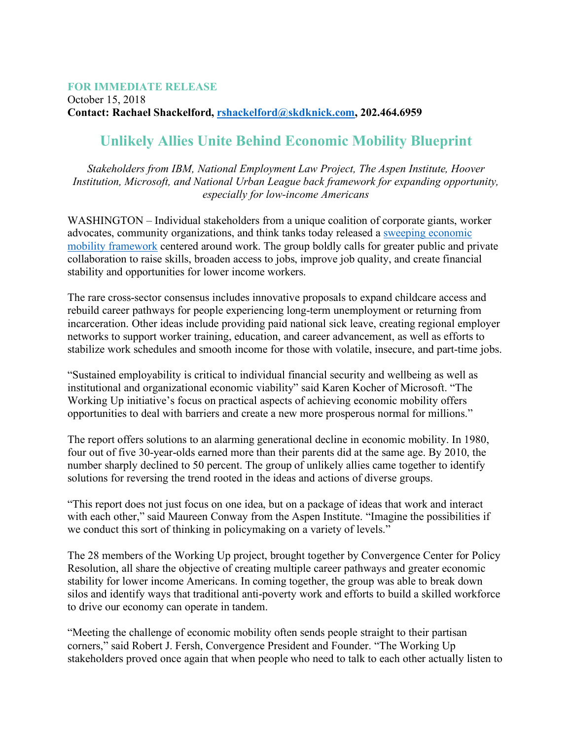#### **FOR IMMEDIATE RELEASE** October 15, 2018 **Contact: Rachael Shackelford, rshackelford@skdknick.com, 202.464.6959**

# **Unlikely Allies Unite Behind Economic Mobility Blueprint**

*Stakeholders from IBM, National Employment Law Project, The Aspen Institute, Hoover Institution, Microsoft, and National Urban League back framework for expanding opportunity, especially for low-income Americans*

WASHINGTON – Individual stakeholders from a unique coalition of corporate giants, worker advocates, community organizations, and think tanks today released a sweeping economic mobility framework centered around work. The group boldly calls for greater public and private collaboration to raise skills, broaden access to jobs, improve job quality, and create financial stability and opportunities for lower income workers.

The rare cross-sector consensus includes innovative proposals to expand childcare access and rebuild career pathways for people experiencing long-term unemployment or returning from incarceration. Other ideas include providing paid national sick leave, creating regional employer networks to support worker training, education, and career advancement, as well as efforts to stabilize work schedules and smooth income for those with volatile, insecure, and part-time jobs.

"Sustained employability is critical to individual financial security and wellbeing as well as institutional and organizational economic viability" said Karen Kocher of Microsoft. "The Working Up initiative's focus on practical aspects of achieving economic mobility offers opportunities to deal with barriers and create a new more prosperous normal for millions."

The report offers solutions to an alarming generational decline in economic mobility. In 1980, four out of five 30-year-olds earned more than their parents did at the same age. By 2010, the number sharply declined to 50 percent. The group of unlikely allies came together to identify solutions for reversing the trend rooted in the ideas and actions of diverse groups.

"This report does not just focus on one idea, but on a package of ideas that work and interact with each other," said Maureen Conway from the Aspen Institute. "Imagine the possibilities if we conduct this sort of thinking in policymaking on a variety of levels."

The 28 members of the Working Up project, brought together by Convergence Center for Policy Resolution, all share the objective of creating multiple career pathways and greater economic stability for lower income Americans. In coming together, the group was able to break down silos and identify ways that traditional anti-poverty work and efforts to build a skilled workforce to drive our economy can operate in tandem.

"Meeting the challenge of economic mobility often sends people straight to their partisan corners," said Robert J. Fersh, Convergence President and Founder. "The Working Up stakeholders proved once again that when people who need to talk to each other actually listen to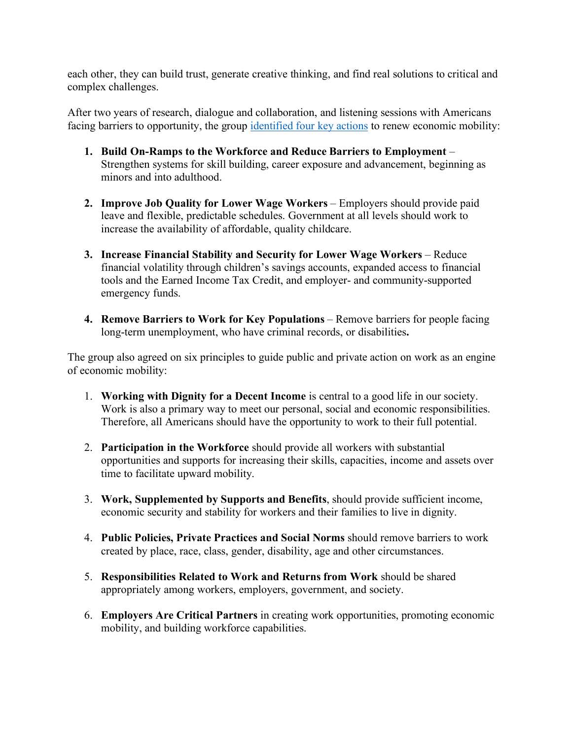each other, they can build trust, generate creative thinking, and find real solutions to critical and complex challenges.

After two years of research, dialogue and collaboration, and listening sessions with Americans facing barriers to opportunity, the group identified four key actions to renew economic mobility:

- **1. Build On-Ramps to the Workforce and Reduce Barriers to Employment** Strengthen systems for skill building, career exposure and advancement, beginning as minors and into adulthood.
- **2. Improve Job Quality for Lower Wage Workers** Employers should provide paid leave and flexible, predictable schedules. Government at all levels should work to increase the availability of affordable, quality childcare.
- **3. Increase Financial Stability and Security for Lower Wage Workers** Reduce financial volatility through children's savings accounts, expanded access to financial tools and the Earned Income Tax Credit, and employer- and community-supported emergency funds.
- **4. Remove Barriers to Work for Key Populations** Remove barriers for people facing long-term unemployment, who have criminal records, or disabilities**.**

The group also agreed on six principles to guide public and private action on work as an engine of economic mobility:

- 1. **Working with Dignity for a Decent Income** is central to a good life in our society. Work is also a primary way to meet our personal, social and economic responsibilities. Therefore, all Americans should have the opportunity to work to their full potential.
- 2. **Participation in the Workforce** should provide all workers with substantial opportunities and supports for increasing their skills, capacities, income and assets over time to facilitate upward mobility.
- 3. **Work, Supplemented by Supports and Benefits**, should provide sufficient income, economic security and stability for workers and their families to live in dignity.
- 4. **Public Policies, Private Practices and Social Norms** should remove barriers to work created by place, race, class, gender, disability, age and other circumstances.
- 5. **Responsibilities Related to Work and Returns from Work** should be shared appropriately among workers, employers, government, and society.
- 6. **Employers Are Critical Partners** in creating work opportunities, promoting economic mobility, and building workforce capabilities.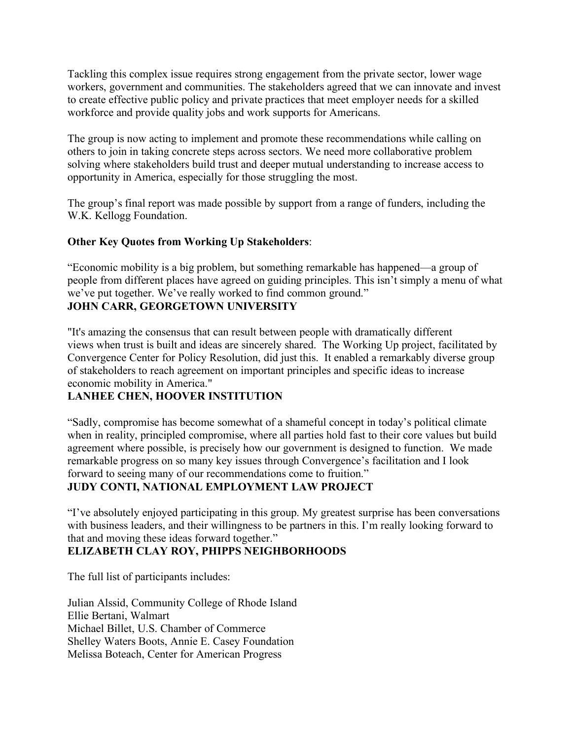Tackling this complex issue requires strong engagement from the private sector, lower wage workers, government and communities. The stakeholders agreed that we can innovate and invest to create effective public policy and private practices that meet employer needs for a skilled workforce and provide quality jobs and work supports for Americans.

The group is now acting to implement and promote these recommendations while calling on others to join in taking concrete steps across sectors. We need more collaborative problem solving where stakeholders build trust and deeper mutual understanding to increase access to opportunity in America, especially for those struggling the most.

The group's final report was made possible by support from a range of funders, including the W.K. Kellogg Foundation.

#### **Other Key Quotes from Working Up Stakeholders**:

"Economic mobility is a big problem, but something remarkable has happened—a group of people from different places have agreed on guiding principles. This isn't simply a menu of what we've put together. We've really worked to find common ground." **JOHN CARR, GEORGETOWN UNIVERSITY**

"It's amazing the consensus that can result between people with dramatically different views when trust is built and ideas are sincerely shared. The Working Up project, facilitated by Convergence Center for Policy Resolution, did just this. It enabled a remarkably diverse group of stakeholders to reach agreement on important principles and specific ideas to increase economic mobility in America."

## **LANHEE CHEN, HOOVER INSTITUTION**

"Sadly, compromise has become somewhat of a shameful concept in today's political climate when in reality, principled compromise, where all parties hold fast to their core values but build agreement where possible, is precisely how our government is designed to function. We made remarkable progress on so many key issues through Convergence's facilitation and I look forward to seeing many of our recommendations come to fruition."

## **JUDY CONTI, NATIONAL EMPLOYMENT LAW PROJECT**

"I've absolutely enjoyed participating in this group. My greatest surprise has been conversations with business leaders, and their willingness to be partners in this. I'm really looking forward to that and moving these ideas forward together."

## **ELIZABETH CLAY ROY, PHIPPS NEIGHBORHOODS**

The full list of participants includes:

Julian Alssid, Community College of Rhode Island Ellie Bertani, Walmart Michael Billet, U.S. Chamber of Commerce Shelley Waters Boots, Annie E. Casey Foundation Melissa Boteach, Center for American Progress